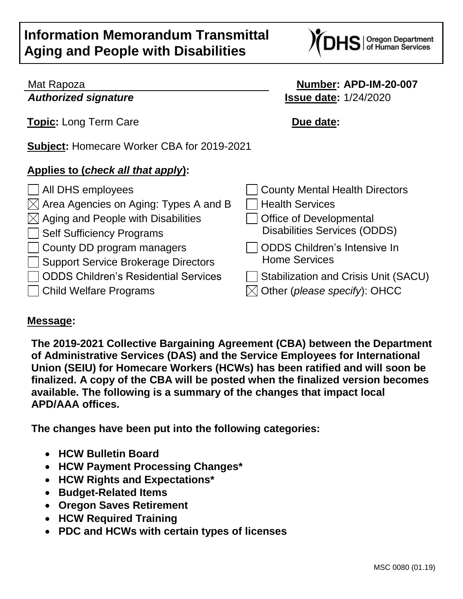# **Information Memorandum Transmittal Aging and People with Disabilities**



## Mat Rapoza **Number: APD-IM-20-007** *Authorized signature* **Issue date:** 1/24/2020 **Topic:** Long Term Care **Due date: Subject:** Homecare Worker CBA for 2019-2021 **Applies to (***check all that apply***):** All DHS employees County Mental Health Directors  $\boxtimes$  Area Agencies on Aging: Types A and B  $\Box$  Health Services  $[\times]$  Aging and People with Disabilities  $\Box$  Office of Developmental Self Sufficiency Programs Disabilities Services (ODDS) County DD program managers Support Service Brokerage Directors ODDS Children's Intensive In Home Services  $\Box$  ODDS Children's Residential Services  $\Box$  Stabilization and Crisis Unit (SACU) Child Welfare Programs Other (*please specify*): OHCC

## **Message:**

**The 2019-2021 Collective Bargaining Agreement (CBA) between the Department of Administrative Services (DAS) and the Service Employees for International Union (SEIU) for Homecare Workers (HCWs) has been ratified and will soon be finalized. A copy of the CBA will be posted when the finalized version becomes available. The following is a summary of the changes that impact local APD/AAA offices.** 

**The changes have been put into the following categories:**

- **HCW Bulletin Board**
- **HCW Payment Processing Changes\***
- **HCW Rights and Expectations\***
- **Budget-Related Items**
- **Oregon Saves Retirement**
- **HCW Required Training**
- **PDC and HCWs with certain types of licenses**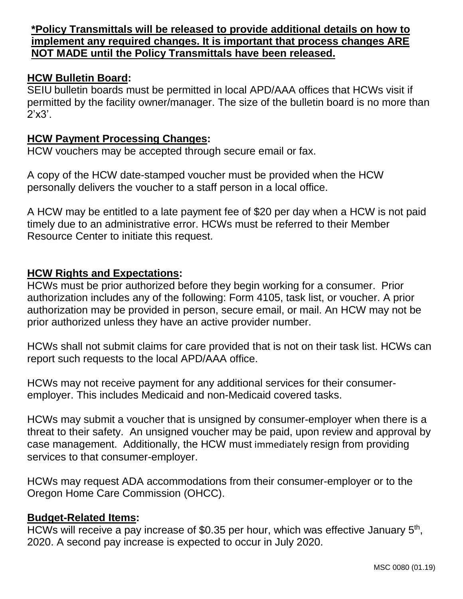**\*Policy Transmittals will be released to provide additional details on how to implement any required changes. It is important that process changes ARE NOT MADE until the Policy Transmittals have been released.**

#### **HCW Bulletin Board:**

SEIU bulletin boards must be permitted in local APD/AAA offices that HCWs visit if permitted by the facility owner/manager. The size of the bulletin board is no more than 2'x3'.

#### **HCW Payment Processing Changes:**

HCW vouchers may be accepted through secure email or fax.

A copy of the HCW date-stamped voucher must be provided when the HCW personally delivers the voucher to a staff person in a local office.

A HCW may be entitled to a late payment fee of \$20 per day when a HCW is not paid timely due to an administrative error. HCWs must be referred to their Member Resource Center to initiate this request.

#### **HCW Rights and Expectations:**

HCWs must be prior authorized before they begin working for a consumer. Prior authorization includes any of the following: Form 4105, task list, or voucher. A prior authorization may be provided in person, secure email, or mail. An HCW may not be prior authorized unless they have an active provider number.

HCWs shall not submit claims for care provided that is not on their task list. HCWs can report such requests to the local APD/AAA office.

HCWs may not receive payment for any additional services for their consumeremployer. This includes Medicaid and non-Medicaid covered tasks.

HCWs may submit a voucher that is unsigned by consumer-employer when there is a threat to their safety. An unsigned voucher may be paid, upon review and approval by case management. Additionally, the HCW must immediately resign from providing services to that consumer-employer.

HCWs may request ADA accommodations from their consumer-employer or to the Oregon Home Care Commission (OHCC).

#### **Budget-Related Items:**

HCWs will receive a pay increase of \$0.35 per hour, which was effective January 5<sup>th</sup>, 2020. A second pay increase is expected to occur in July 2020.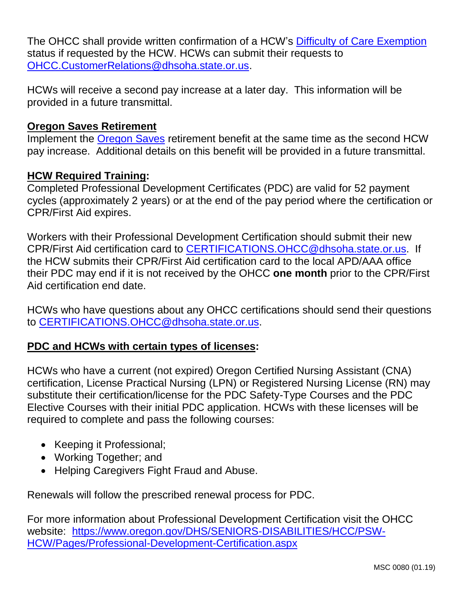The OHCC shall provide written confirmation of a HCW's [Difficulty of Care Exemption](https://www.irs.gov/individuals/certain-medicaid-waiver-payments-may-be-excludable-from-income) status if requested by the HCW. HCWs can submit their requests to [OHCC.CustomerRelations@dhsoha.state.or.us.](mailto:OHCC.CustomerRelations@dhsoha.state.or.us)

HCWs will receive a second pay increase at a later day. This information will be provided in a future transmittal.

### **Oregon Saves Retirement**

Implement the [Oregon Saves](https://www.oregonsaves.com/) retirement benefit at the same time as the second HCW pay increase. Additional details on this benefit will be provided in a future transmittal.

#### **HCW Required Training:**

Completed Professional Development Certificates (PDC) are valid for 52 payment cycles (approximately 2 years) or at the end of the pay period where the certification or CPR/First Aid expires.

Workers with their Professional Development Certification should submit their new CPR/First Aid certification card to [CERTIFICATIONS.OHCC@dhsoha.state.or.us.](mailto:CERTIFICATIONS.OHCC@dhsoha.state.or.us) If the HCW submits their CPR/First Aid certification card to the local APD/AAA office their PDC may end if it is not received by the OHCC **one month** prior to the CPR/First Aid certification end date.

HCWs who have questions about any OHCC certifications should send their questions to [CERTIFICATIONS.OHCC@dhsoha.state.or.us.](mailto:CERTIFICATIONS.OHCC@dhsoha.state.or.us)

#### **PDC and HCWs with certain types of licenses:**

HCWs who have a current (not expired) Oregon Certified Nursing Assistant (CNA) certification, License Practical Nursing (LPN) or Registered Nursing License (RN) may substitute their certification/license for the PDC Safety-Type Courses and the PDC Elective Courses with their initial PDC application. HCWs with these licenses will be required to complete and pass the following courses:

- Keeping it Professional;
- Working Together; and
- Helping Caregivers Fight Fraud and Abuse.

Renewals will follow the prescribed renewal process for PDC.

For more information about Professional Development Certification visit the OHCC website:[https://www.oregon.gov/DHS/SENIORS-DISABILITIES/HCC/PSW-](https://www.oregon.gov/DHS/SENIORS-DISABILITIES/HCC/PSW-HCW/Pages/Professional-Development-Certification.aspx)[HCW/Pages/Professional-Development-Certification.aspx](https://www.oregon.gov/DHS/SENIORS-DISABILITIES/HCC/PSW-HCW/Pages/Professional-Development-Certification.aspx)